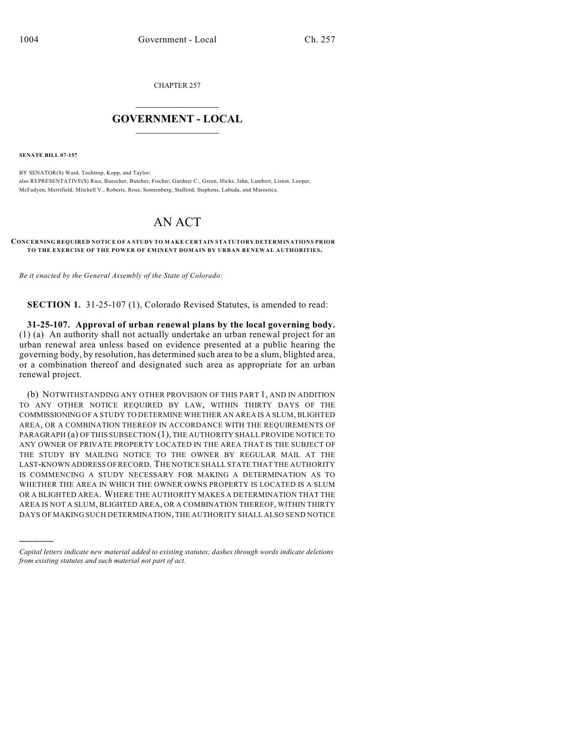CHAPTER 257

## $\overline{\phantom{a}}$  . The set of the set of the set of the set of the set of the set of the set of the set of the set of the set of the set of the set of the set of the set of the set of the set of the set of the set of the set o **GOVERNMENT - LOCAL**  $\_$

**SENATE BILL 07-157**

)))))

BY SENATOR(S) Ward, Tochtrop, Kopp, and Taylor; also REPRESENTATIVE(S) Rice, Buescher, Butcher, Fischer, Gardner C., Green, Hicks, Jahn, Lambert, Liston, Looper, McFadyen, Merrifield, Mitchell V., Roberts, Rose, Sonnenberg, Stafford, Stephens, Labuda, and Marostica.

## AN ACT

## **CONCERNING REQUIRED NOTICE OF A STUDY TO M AKE CERTAIN STATUTORY DETERMINATIONS PRIOR TO THE EXERCISE OF THE POWER OF EMINENT DOMAIN BY URBAN RENEWAL AUTHORITIES.**

*Be it enacted by the General Assembly of the State of Colorado:*

**SECTION 1.** 31-25-107 (1), Colorado Revised Statutes, is amended to read:

**31-25-107. Approval of urban renewal plans by the local governing body.** (1) (a) An authority shall not actually undertake an urban renewal project for an urban renewal area unless based on evidence presented at a public hearing the governing body, by resolution, has determined such area to be a slum, blighted area, or a combination thereof and designated such area as appropriate for an urban renewal project.

(b) NOTWITHSTANDING ANY OTHER PROVISION OF THIS PART 1, AND IN ADDITION TO ANY OTHER NOTICE REQUIRED BY LAW, WITHIN THIRTY DAYS OF THE COMMISSIONING OF A STUDY TO DETERMINE WHETHER AN AREA IS A SLUM, BLIGHTED AREA, OR A COMBINATION THEREOF IN ACCORDANCE WITH THE REQUIREMENTS OF PARAGRAPH (a) OF THIS SUBSECTION (1), THE AUTHORITY SHALL PROVIDE NOTICE TO ANY OWNER OF PRIVATE PROPERTY LOCATED IN THE AREA THAT IS THE SUBJECT OF THE STUDY BY MAILING NOTICE TO THE OWNER BY REGULAR MAIL AT THE LAST-KNOWN ADDRESS OF RECORD. THE NOTICE SHALL STATE THAT THE AUTHORITY IS COMMENCING A STUDY NECESSARY FOR MAKING A DETERMINATION AS TO WHETHER THE AREA IN WHICH THE OWNER OWNS PROPERTY IS LOCATED IS A SLUM OR A BLIGHTED AREA. WHERE THE AUTHORITY MAKES A DETERMINATION THAT THE AREA IS NOT A SLUM, BLIGHTED AREA, OR A COMBINATION THEREOF, WITHIN THIRTY DAYS OF MAKING SUCH DETERMINATION, THE AUTHORITY SHALL ALSO SEND NOTICE

*Capital letters indicate new material added to existing statutes; dashes through words indicate deletions from existing statutes and such material not part of act.*